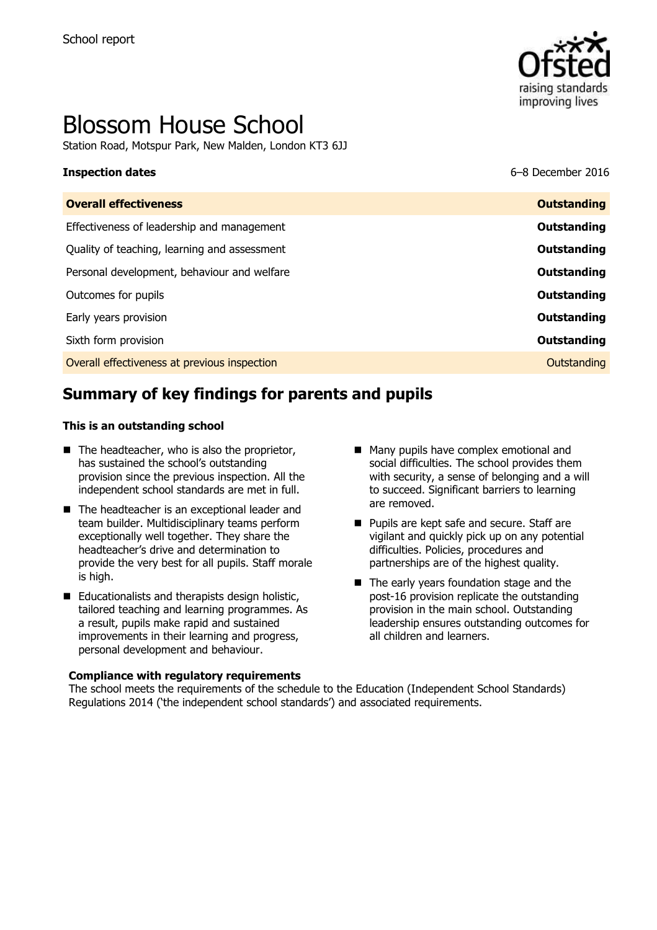

# Blossom House School

Station Road, Motspur Park, New Malden, London KT3 6JJ

**Inspection dates** 6–8 December 2016

| <b>Outstanding</b> |
|--------------------|
| <b>Outstanding</b> |
| Outstanding        |
| Outstanding        |
| Outstanding        |
| Outstanding        |
| Outstanding        |
| Outstanding        |
|                    |

## **Summary of key findings for parents and pupils**

#### **This is an outstanding school**

- $\blacksquare$  The headteacher, who is also the proprietor, has sustained the school's outstanding provision since the previous inspection. All the independent school standards are met in full.
- The headteacher is an exceptional leader and team builder. Multidisciplinary teams perform exceptionally well together. They share the headteacher's drive and determination to provide the very best for all pupils. Staff morale is high.
- Educationalists and therapists design holistic, tailored teaching and learning programmes. As a result, pupils make rapid and sustained improvements in their learning and progress, personal development and behaviour.

#### **Compliance with regulatory requirements**

- **Many pupils have complex emotional and** social difficulties. The school provides them with security, a sense of belonging and a will to succeed. Significant barriers to learning are removed.
- **Pupils are kept safe and secure. Staff are** vigilant and quickly pick up on any potential difficulties. Policies, procedures and partnerships are of the highest quality.
- The early years foundation stage and the post-16 provision replicate the outstanding provision in the main school. Outstanding leadership ensures outstanding outcomes for all children and learners.

The school meets the requirements of the schedule to the Education (Independent School Standards) Regulations 2014 ('the independent school standards') and associated requirements.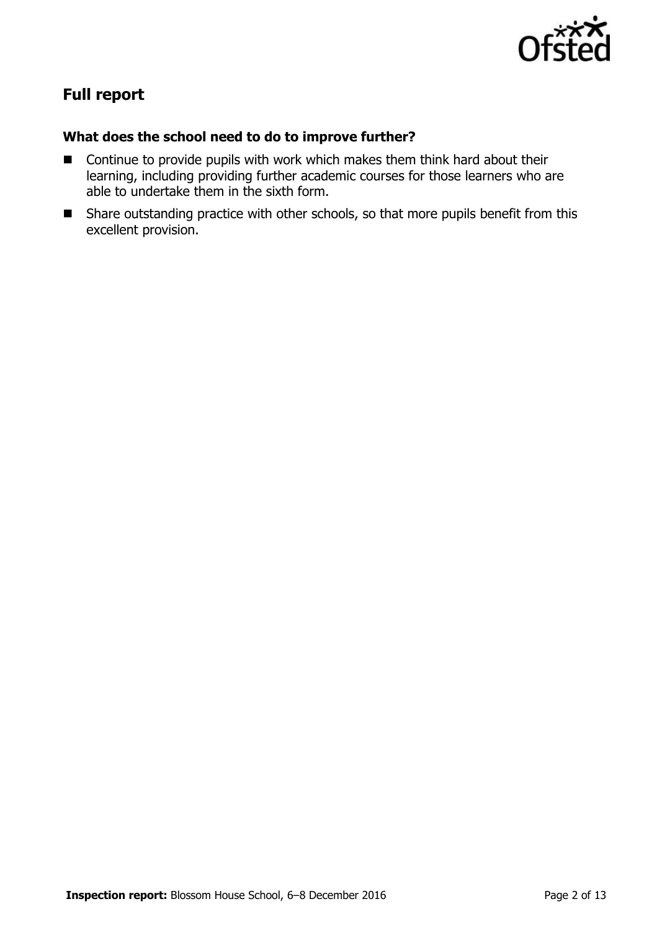

# **Full report**

# **What does the school need to do to improve further?**

- Continue to provide pupils with work which makes them think hard about their learning, including providing further academic courses for those learners who are able to undertake them in the sixth form.
- Share outstanding practice with other schools, so that more pupils benefit from this excellent provision.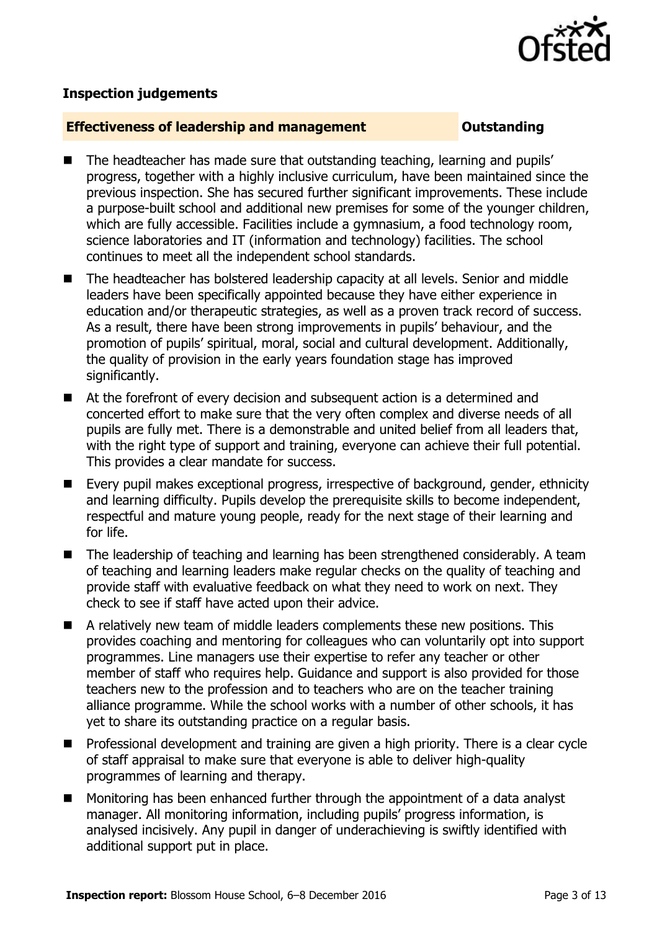

#### **Inspection judgements**

#### **Effectiveness of leadership and management COUTS** Outstanding

- The headteacher has made sure that outstanding teaching, learning and pupils' progress, together with a highly inclusive curriculum, have been maintained since the previous inspection. She has secured further significant improvements. These include a purpose-built school and additional new premises for some of the younger children, which are fully accessible. Facilities include a gymnasium, a food technology room, science laboratories and IT (information and technology) facilities. The school continues to meet all the independent school standards.
- The headteacher has bolstered leadership capacity at all levels. Senior and middle leaders have been specifically appointed because they have either experience in education and/or therapeutic strategies, as well as a proven track record of success. As a result, there have been strong improvements in pupils' behaviour, and the promotion of pupils' spiritual, moral, social and cultural development. Additionally, the quality of provision in the early years foundation stage has improved significantly.
- At the forefront of every decision and subsequent action is a determined and concerted effort to make sure that the very often complex and diverse needs of all pupils are fully met. There is a demonstrable and united belief from all leaders that, with the right type of support and training, everyone can achieve their full potential. This provides a clear mandate for success.
- Every pupil makes exceptional progress, irrespective of background, gender, ethnicity and learning difficulty. Pupils develop the prerequisite skills to become independent, respectful and mature young people, ready for the next stage of their learning and for life.
- The leadership of teaching and learning has been strengthened considerably. A team of teaching and learning leaders make regular checks on the quality of teaching and provide staff with evaluative feedback on what they need to work on next. They check to see if staff have acted upon their advice.
- A relatively new team of middle leaders complements these new positions. This provides coaching and mentoring for colleagues who can voluntarily opt into support programmes. Line managers use their expertise to refer any teacher or other member of staff who requires help. Guidance and support is also provided for those teachers new to the profession and to teachers who are on the teacher training alliance programme. While the school works with a number of other schools, it has yet to share its outstanding practice on a regular basis.
- **Professional development and training are given a high priority. There is a clear cycle** of staff appraisal to make sure that everyone is able to deliver high-quality programmes of learning and therapy.
- Monitoring has been enhanced further through the appointment of a data analyst manager. All monitoring information, including pupils' progress information, is analysed incisively. Any pupil in danger of underachieving is swiftly identified with additional support put in place.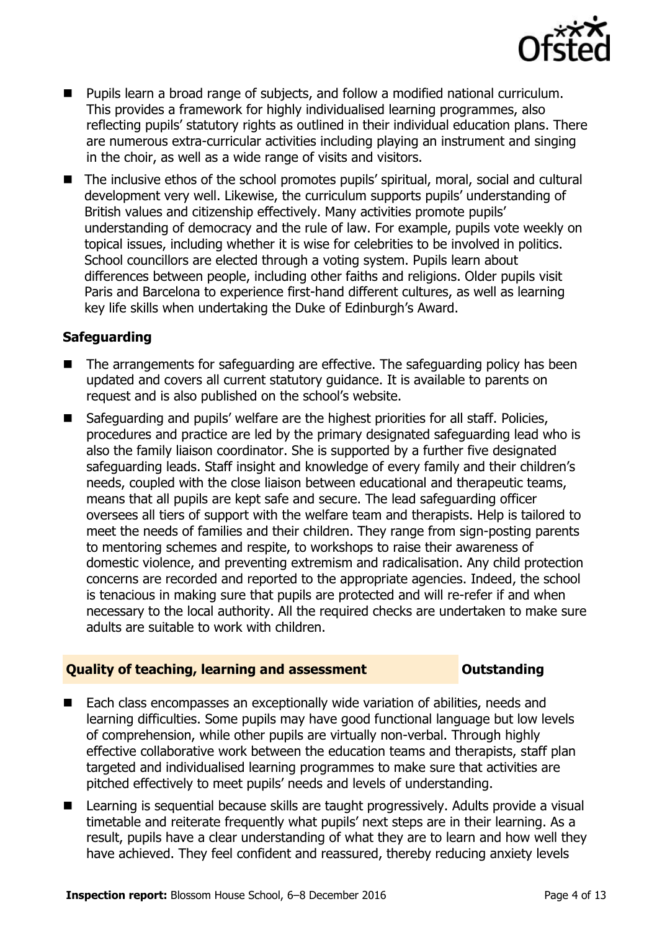

- Pupils learn a broad range of subjects, and follow a modified national curriculum. This provides a framework for highly individualised learning programmes, also reflecting pupils' statutory rights as outlined in their individual education plans. There are numerous extra-curricular activities including playing an instrument and singing in the choir, as well as a wide range of visits and visitors.
- The inclusive ethos of the school promotes pupils' spiritual, moral, social and cultural development very well. Likewise, the curriculum supports pupils' understanding of British values and citizenship effectively. Many activities promote pupils' understanding of democracy and the rule of law. For example, pupils vote weekly on topical issues, including whether it is wise for celebrities to be involved in politics. School councillors are elected through a voting system. Pupils learn about differences between people, including other faiths and religions. Older pupils visit Paris and Barcelona to experience first-hand different cultures, as well as learning key life skills when undertaking the Duke of Edinburgh's Award.

### **Safeguarding**

- The arrangements for safeguarding are effective. The safeguarding policy has been updated and covers all current statutory guidance. It is available to parents on request and is also published on the school's website.
- Safeguarding and pupils' welfare are the highest priorities for all staff. Policies, procedures and practice are led by the primary designated safeguarding lead who is also the family liaison coordinator. She is supported by a further five designated safeguarding leads. Staff insight and knowledge of every family and their children's needs, coupled with the close liaison between educational and therapeutic teams, means that all pupils are kept safe and secure. The lead safeguarding officer oversees all tiers of support with the welfare team and therapists. Help is tailored to meet the needs of families and their children. They range from sign-posting parents to mentoring schemes and respite, to workshops to raise their awareness of domestic violence, and preventing extremism and radicalisation. Any child protection concerns are recorded and reported to the appropriate agencies. Indeed, the school is tenacious in making sure that pupils are protected and will re-refer if and when necessary to the local authority. All the required checks are undertaken to make sure adults are suitable to work with children.

### **Quality of teaching, learning and assessment Outstanding**

- Each class encompasses an exceptionally wide variation of abilities, needs and learning difficulties. Some pupils may have good functional language but low levels of comprehension, while other pupils are virtually non-verbal. Through highly effective collaborative work between the education teams and therapists, staff plan targeted and individualised learning programmes to make sure that activities are pitched effectively to meet pupils' needs and levels of understanding.
- Learning is sequential because skills are taught progressively. Adults provide a visual timetable and reiterate frequently what pupils' next steps are in their learning. As a result, pupils have a clear understanding of what they are to learn and how well they have achieved. They feel confident and reassured, thereby reducing anxiety levels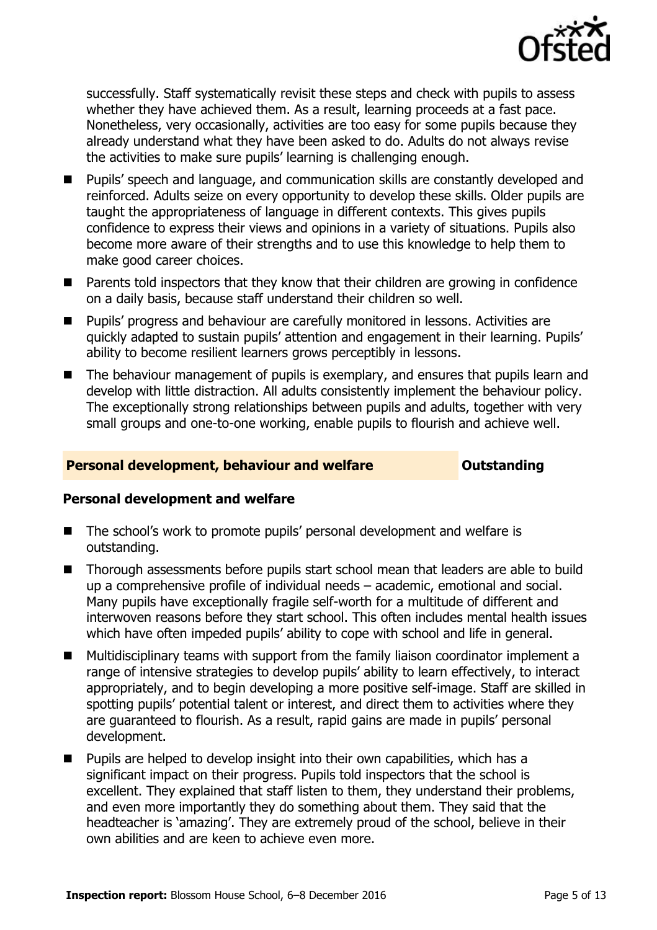

successfully. Staff systematically revisit these steps and check with pupils to assess whether they have achieved them. As a result, learning proceeds at a fast pace. Nonetheless, very occasionally, activities are too easy for some pupils because they already understand what they have been asked to do. Adults do not always revise the activities to make sure pupils' learning is challenging enough.

- Pupils' speech and language, and communication skills are constantly developed and reinforced. Adults seize on every opportunity to develop these skills. Older pupils are taught the appropriateness of language in different contexts. This gives pupils confidence to express their views and opinions in a variety of situations. Pupils also become more aware of their strengths and to use this knowledge to help them to make good career choices.
- Parents told inspectors that they know that their children are growing in confidence on a daily basis, because staff understand their children so well.
- Pupils' progress and behaviour are carefully monitored in lessons. Activities are quickly adapted to sustain pupils' attention and engagement in their learning. Pupils' ability to become resilient learners grows perceptibly in lessons.
- The behaviour management of pupils is exemplary, and ensures that pupils learn and develop with little distraction. All adults consistently implement the behaviour policy. The exceptionally strong relationships between pupils and adults, together with very small groups and one-to-one working, enable pupils to flourish and achieve well.

#### **Personal development, behaviour and welfare <b>COUTS** Dutstanding

#### **Personal development and welfare**

- The school's work to promote pupils' personal development and welfare is outstanding.
- Thorough assessments before pupils start school mean that leaders are able to build up a comprehensive profile of individual needs – academic, emotional and social. Many pupils have exceptionally fragile self-worth for a multitude of different and interwoven reasons before they start school. This often includes mental health issues which have often impeded pupils' ability to cope with school and life in general.
- Multidisciplinary teams with support from the family liaison coordinator implement a range of intensive strategies to develop pupils' ability to learn effectively, to interact appropriately, and to begin developing a more positive self-image. Staff are skilled in spotting pupils' potential talent or interest, and direct them to activities where they are guaranteed to flourish. As a result, rapid gains are made in pupils' personal development.
- **Pupils are helped to develop insight into their own capabilities, which has a** significant impact on their progress. Pupils told inspectors that the school is excellent. They explained that staff listen to them, they understand their problems, and even more importantly they do something about them. They said that the headteacher is 'amazing'. They are extremely proud of the school, believe in their own abilities and are keen to achieve even more.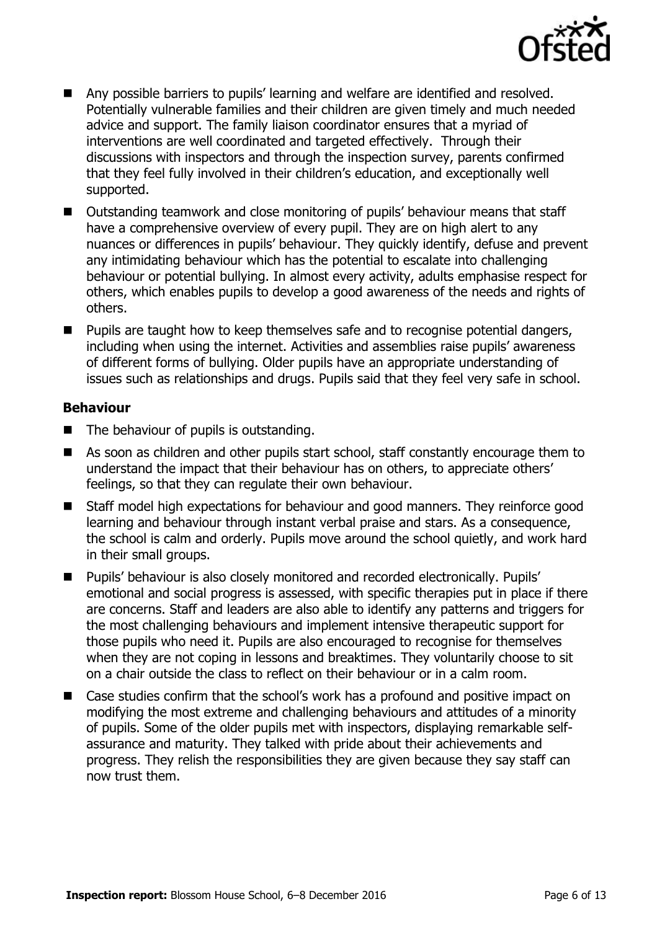

- Any possible barriers to pupils' learning and welfare are identified and resolved. Potentially vulnerable families and their children are given timely and much needed advice and support. The family liaison coordinator ensures that a myriad of interventions are well coordinated and targeted effectively. Through their discussions with inspectors and through the inspection survey, parents confirmed that they feel fully involved in their children's education, and exceptionally well supported.
- Outstanding teamwork and close monitoring of pupils' behaviour means that staff have a comprehensive overview of every pupil. They are on high alert to any nuances or differences in pupils' behaviour. They quickly identify, defuse and prevent any intimidating behaviour which has the potential to escalate into challenging behaviour or potential bullying. In almost every activity, adults emphasise respect for others, which enables pupils to develop a good awareness of the needs and rights of others.
- **Pupils are taught how to keep themselves safe and to recognise potential dangers,** including when using the internet. Activities and assemblies raise pupils' awareness of different forms of bullying. Older pupils have an appropriate understanding of issues such as relationships and drugs. Pupils said that they feel very safe in school.

#### **Behaviour**

- The behaviour of pupils is outstanding.
- As soon as children and other pupils start school, staff constantly encourage them to understand the impact that their behaviour has on others, to appreciate others' feelings, so that they can regulate their own behaviour.
- Staff model high expectations for behaviour and good manners. They reinforce good learning and behaviour through instant verbal praise and stars. As a consequence, the school is calm and orderly. Pupils move around the school quietly, and work hard in their small groups.
- Pupils' behaviour is also closely monitored and recorded electronically. Pupils' emotional and social progress is assessed, with specific therapies put in place if there are concerns. Staff and leaders are also able to identify any patterns and triggers for the most challenging behaviours and implement intensive therapeutic support for those pupils who need it. Pupils are also encouraged to recognise for themselves when they are not coping in lessons and breaktimes. They voluntarily choose to sit on a chair outside the class to reflect on their behaviour or in a calm room.
- Case studies confirm that the school's work has a profound and positive impact on modifying the most extreme and challenging behaviours and attitudes of a minority of pupils. Some of the older pupils met with inspectors, displaying remarkable selfassurance and maturity. They talked with pride about their achievements and progress. They relish the responsibilities they are given because they say staff can now trust them.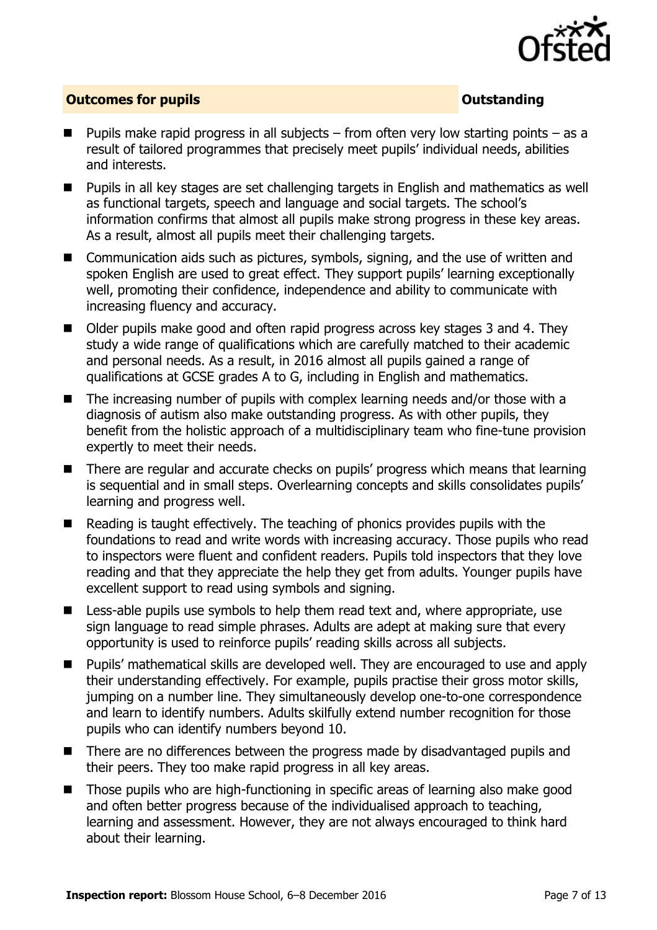

### **Outcomes for pupils Outstanding**

- **Pupils make rapid progress in all subjects from often very low starting points as a** result of tailored programmes that precisely meet pupils' individual needs, abilities and interests.
- **Pupils in all key stages are set challenging targets in English and mathematics as well** as functional targets, speech and language and social targets. The school's information confirms that almost all pupils make strong progress in these key areas. As a result, almost all pupils meet their challenging targets.
- Communication aids such as pictures, symbols, signing, and the use of written and spoken English are used to great effect. They support pupils' learning exceptionally well, promoting their confidence, independence and ability to communicate with increasing fluency and accuracy.
- Older pupils make good and often rapid progress across key stages 3 and 4. They study a wide range of qualifications which are carefully matched to their academic and personal needs. As a result, in 2016 almost all pupils gained a range of qualifications at GCSE grades A to G, including in English and mathematics.
- $\blacksquare$  The increasing number of pupils with complex learning needs and/or those with a diagnosis of autism also make outstanding progress. As with other pupils, they benefit from the holistic approach of a multidisciplinary team who fine-tune provision expertly to meet their needs.
- There are regular and accurate checks on pupils' progress which means that learning is sequential and in small steps. Overlearning concepts and skills consolidates pupils' learning and progress well.
- Reading is taught effectively. The teaching of phonics provides pupils with the foundations to read and write words with increasing accuracy. Those pupils who read to inspectors were fluent and confident readers. Pupils told inspectors that they love reading and that they appreciate the help they get from adults. Younger pupils have excellent support to read using symbols and signing.
- Less-able pupils use symbols to help them read text and, where appropriate, use sign language to read simple phrases. Adults are adept at making sure that every opportunity is used to reinforce pupils' reading skills across all subjects.
- **Pupils'** mathematical skills are developed well. They are encouraged to use and apply their understanding effectively. For example, pupils practise their gross motor skills, jumping on a number line. They simultaneously develop one-to-one correspondence and learn to identify numbers. Adults skilfully extend number recognition for those pupils who can identify numbers beyond 10.
- There are no differences between the progress made by disadvantaged pupils and their peers. They too make rapid progress in all key areas.
- Those pupils who are high-functioning in specific areas of learning also make good and often better progress because of the individualised approach to teaching, learning and assessment. However, they are not always encouraged to think hard about their learning.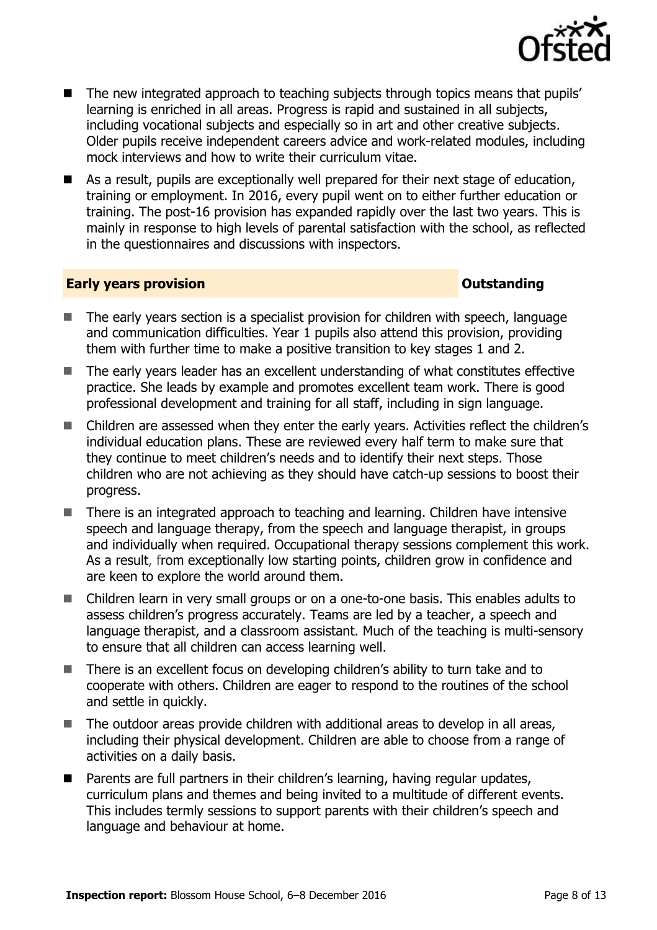

- The new integrated approach to teaching subjects through topics means that pupils' learning is enriched in all areas. Progress is rapid and sustained in all subjects, including vocational subjects and especially so in art and other creative subjects. Older pupils receive independent careers advice and work-related modules, including mock interviews and how to write their curriculum vitae.
- As a result, pupils are exceptionally well prepared for their next stage of education, training or employment. In 2016, every pupil went on to either further education or training. The post-16 provision has expanded rapidly over the last two years. This is mainly in response to high levels of parental satisfaction with the school, as reflected in the questionnaires and discussions with inspectors.

#### **Early years provision CONSTANDING TO A RESERVE THE SERVE TO A RESERVE THE SERVE TO A RESERVE THE SERVE TO A RESERVE THE SERVE TO A RESERVE THE SERVE TO A RESERVE THE SERVE TO A RESERVE THE SERVE TO A RESERVE THE SERVE T**

- $\blacksquare$  The early years section is a specialist provision for children with speech, language and communication difficulties. Year 1 pupils also attend this provision, providing them with further time to make a positive transition to key stages 1 and 2.
- The early years leader has an excellent understanding of what constitutes effective practice. She leads by example and promotes excellent team work. There is good professional development and training for all staff, including in sign language.
- Children are assessed when they enter the early years. Activities reflect the children's individual education plans. These are reviewed every half term to make sure that they continue to meet children's needs and to identify their next steps. Those children who are not achieving as they should have catch-up sessions to boost their progress.
- There is an integrated approach to teaching and learning. Children have intensive speech and language therapy, from the speech and language therapist, in groups and individually when required. Occupational therapy sessions complement this work. As a result, from exceptionally low starting points, children grow in confidence and are keen to explore the world around them.
- Children learn in very small groups or on a one-to-one basis. This enables adults to assess children's progress accurately. Teams are led by a teacher, a speech and language therapist, and a classroom assistant. Much of the teaching is multi-sensory to ensure that all children can access learning well.
- There is an excellent focus on developing children's ability to turn take and to cooperate with others. Children are eager to respond to the routines of the school and settle in quickly.
- The outdoor areas provide children with additional areas to develop in all areas, including their physical development. Children are able to choose from a range of activities on a daily basis.
- Parents are full partners in their children's learning, having regular updates, curriculum plans and themes and being invited to a multitude of different events. This includes termly sessions to support parents with their children's speech and language and behaviour at home.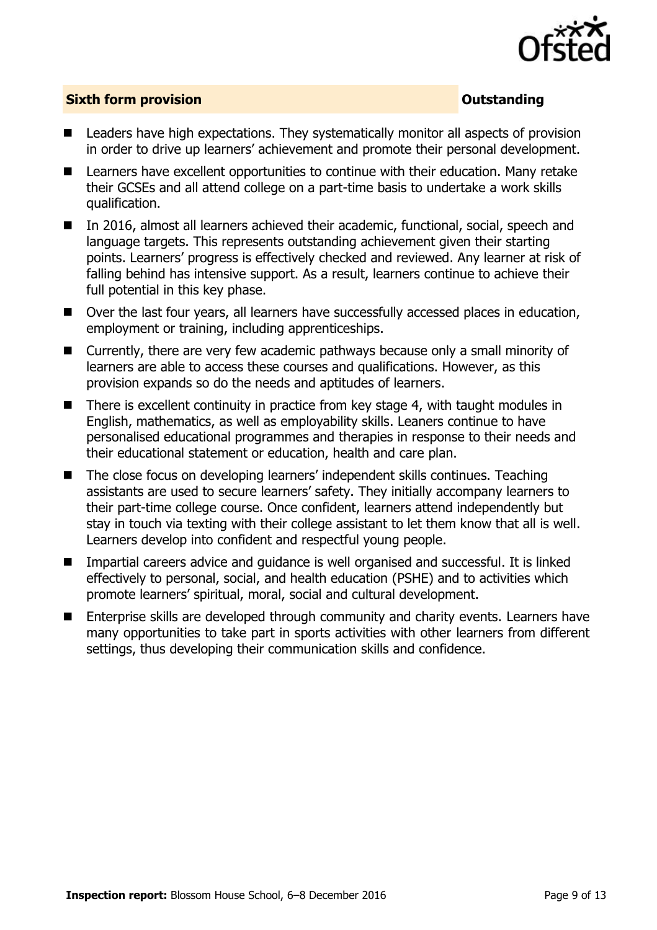

### **Sixth form provision CONSISTER SIXTERS IN A SET OUTSTANDING Outstanding**

- **Leaders have high expectations. They systematically monitor all aspects of provision** in order to drive up learners' achievement and promote their personal development.
- Learners have excellent opportunities to continue with their education. Many retake their GCSEs and all attend college on a part-time basis to undertake a work skills qualification.
- In 2016, almost all learners achieved their academic, functional, social, speech and language targets. This represents outstanding achievement given their starting points. Learners' progress is effectively checked and reviewed. Any learner at risk of falling behind has intensive support. As a result, learners continue to achieve their full potential in this key phase.
- Over the last four years, all learners have successfully accessed places in education, employment or training, including apprenticeships.
- Currently, there are very few academic pathways because only a small minority of learners are able to access these courses and qualifications. However, as this provision expands so do the needs and aptitudes of learners.
- $\blacksquare$  There is excellent continuity in practice from key stage 4, with taught modules in English, mathematics, as well as employability skills. Leaners continue to have personalised educational programmes and therapies in response to their needs and their educational statement or education, health and care plan.
- The close focus on developing learners' independent skills continues. Teaching assistants are used to secure learners' safety. They initially accompany learners to their part-time college course. Once confident, learners attend independently but stay in touch via texting with their college assistant to let them know that all is well. Learners develop into confident and respectful young people.
- Impartial careers advice and quidance is well organised and successful. It is linked effectively to personal, social, and health education (PSHE) and to activities which promote learners' spiritual, moral, social and cultural development.
- Enterprise skills are developed through community and charity events. Learners have many opportunities to take part in sports activities with other learners from different settings, thus developing their communication skills and confidence.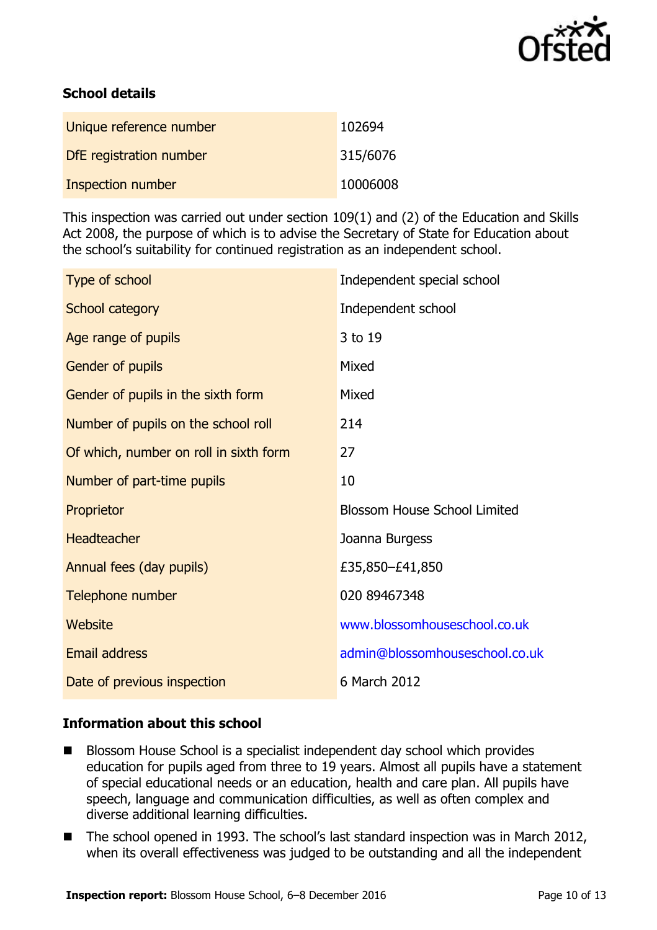

### **School details**

| Unique reference number  | 102694   |
|--------------------------|----------|
| DfE registration number  | 315/6076 |
| <b>Inspection number</b> | 10006008 |

This inspection was carried out under section 109(1) and (2) of the Education and Skills Act 2008, the purpose of which is to advise the Secretary of State for Education about the school's suitability for continued registration as an independent school.

| Type of school                         | Independent special school          |
|----------------------------------------|-------------------------------------|
| School category                        | Independent school                  |
| Age range of pupils                    | 3 to 19                             |
| Gender of pupils                       | Mixed                               |
| Gender of pupils in the sixth form     | Mixed                               |
| Number of pupils on the school roll    | 214                                 |
| Of which, number on roll in sixth form | 27                                  |
| Number of part-time pupils             | 10                                  |
| Proprietor                             | <b>Blossom House School Limited</b> |
| <b>Headteacher</b>                     | Joanna Burgess                      |
| Annual fees (day pupils)               | £35,850-£41,850                     |
| Telephone number                       | 020 89467348                        |
| <b>Website</b>                         | www.blossomhouseschool.co.uk        |
| <b>Email address</b>                   | admin@blossomhouseschool.co.uk      |
| Date of previous inspection            | 6 March 2012                        |
|                                        |                                     |

### **Information about this school**

- Blossom House School is a specialist independent day school which provides education for pupils aged from three to 19 years. Almost all pupils have a statement of special educational needs or an education, health and care plan. All pupils have speech, language and communication difficulties, as well as often complex and diverse additional learning difficulties.
- The school opened in 1993. The school's last standard inspection was in March 2012, when its overall effectiveness was judged to be outstanding and all the independent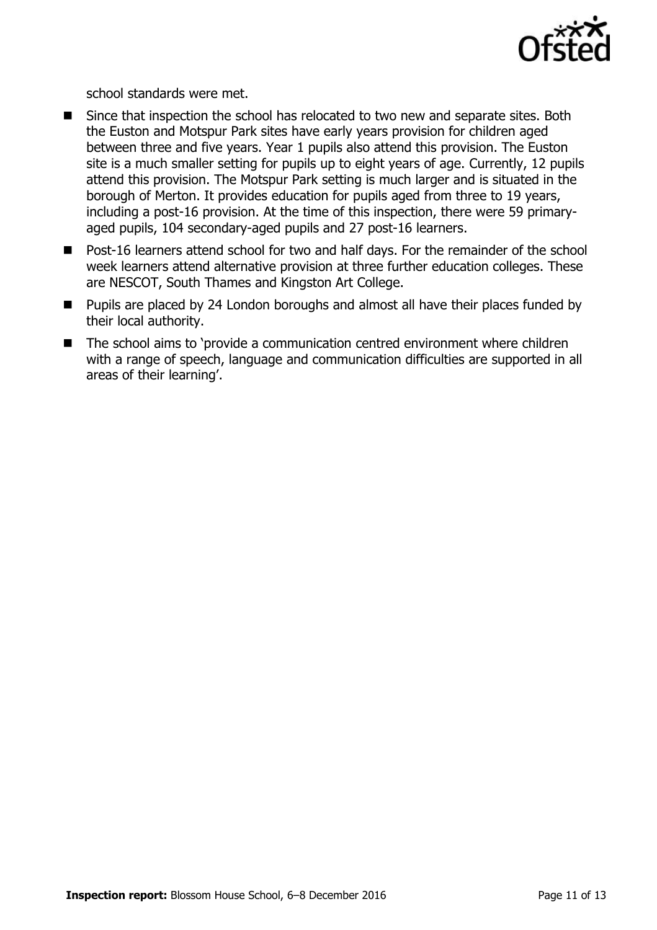

school standards were met.

- Since that inspection the school has relocated to two new and separate sites. Both the Euston and Motspur Park sites have early years provision for children aged between three and five years. Year 1 pupils also attend this provision. The Euston site is a much smaller setting for pupils up to eight years of age. Currently, 12 pupils attend this provision. The Motspur Park setting is much larger and is situated in the borough of Merton. It provides education for pupils aged from three to 19 years, including a post-16 provision. At the time of this inspection, there were 59 primaryaged pupils, 104 secondary-aged pupils and 27 post-16 learners.
- Post-16 learners attend school for two and half days. For the remainder of the school week learners attend alternative provision at three further education colleges. These are NESCOT, South Thames and Kingston Art College.
- Pupils are placed by 24 London boroughs and almost all have their places funded by their local authority.
- The school aims to 'provide a communication centred environment where children with a range of speech, language and communication difficulties are supported in all areas of their learning'.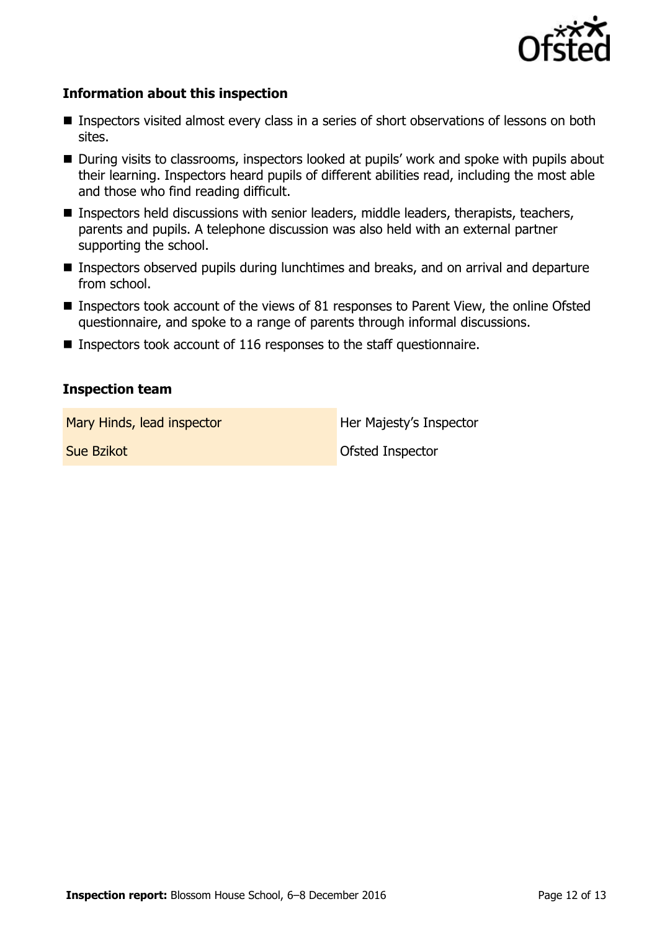

#### **Information about this inspection**

- Inspectors visited almost every class in a series of short observations of lessons on both sites.
- During visits to classrooms, inspectors looked at pupils' work and spoke with pupils about their learning. Inspectors heard pupils of different abilities read, including the most able and those who find reading difficult.
- Inspectors held discussions with senior leaders, middle leaders, therapists, teachers, parents and pupils. A telephone discussion was also held with an external partner supporting the school.
- Inspectors observed pupils during lunchtimes and breaks, and on arrival and departure from school.
- Inspectors took account of the views of 81 responses to Parent View, the online Ofsted questionnaire, and spoke to a range of parents through informal discussions.
- $\blacksquare$  Inspectors took account of 116 responses to the staff questionnaire.

#### **Inspection team**

Mary Hinds, lead inspector **Her Majesty's Inspector** 

**Sue Bzikot Contract Contract Contract Contract Contract Contract Contract Contract Contract Contract Contract Contract Contract Contract Contract Contract Contract Contract Contract Contract Contract Contract Contract C**